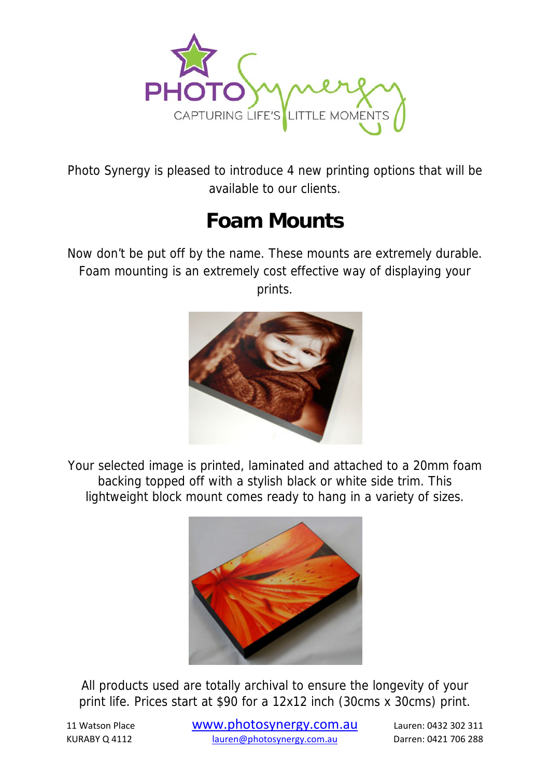

Photo Synergy is pleased to introduce 4 new printing options that will be available to our clients.

## **Foam Mounts**

Now don't be put off by the name. These mounts are extremely durable. Foam mounting is an extremely cost effective way of displaying your prints.



Your selected image is printed, laminated and attached to a 20mm foam backing topped off with a stylish black or white side trim. This lightweight block mount comes ready to hang in a variety of sizes.



All products used are totally archival to ensure the longevity of your print life. Prices start at \$90 for a 12x12 inch (30cms x 30cms) print.

<sup>11</sup> Watson Place www.photosynergy.com.au Lauren: <sup>0432</sup> <sup>302</sup> <sup>311</sup> KURABY Q 4112 lauren@photosynergy.com.au Darren: 0421 706 288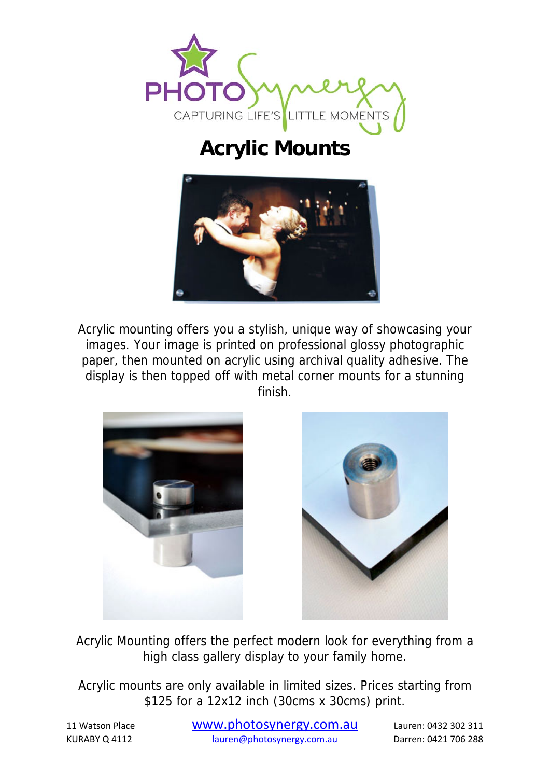

## **Acrylic Mounts**



Acrylic mounting offers you a stylish, unique way of showcasing your images. Your image is printed on professional glossy photographic paper, then mounted on acrylic using archival quality adhesive. The display is then topped off with metal corner mounts for a stunning finish.





Acrylic Mounting offers the perfect modern look for everything from a high class gallery display to your family home.

Acrylic mounts are only available in limited sizes. Prices starting from \$125 for a 12x12 inch (30cms x 30cms) print.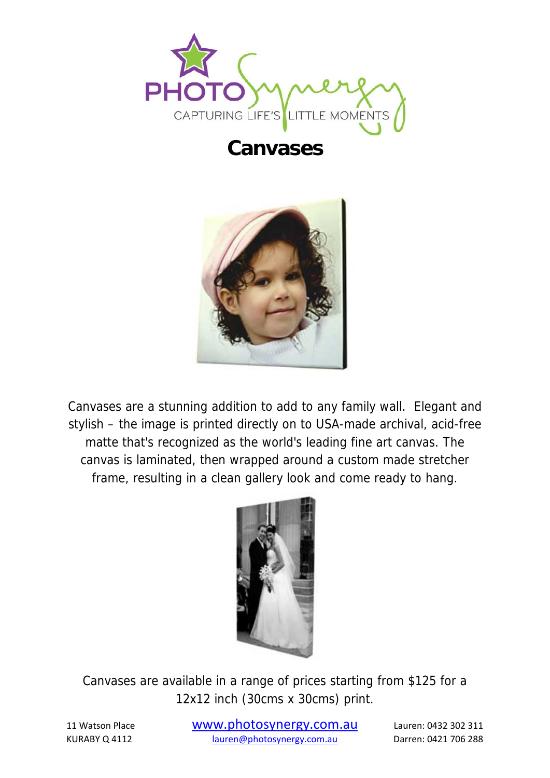

## **Canvases**



Canvases are a stunning addition to add to any family wall. Elegant and stylish – the image is printed directly on to USA-made archival, acid-free matte that's recognized as the world's leading fine art canvas. The canvas is laminated, then wrapped around a custom made stretcher frame, resulting in a clean gallery look and come ready to hang.



Canvases are available in a range of prices starting from \$125 for a 12x12 inch (30cms x 30cms) print.

<sup>11</sup> Watson Place www.photosynergy.com.au Lauren: <sup>0432</sup> <sup>302</sup> <sup>311</sup> KURABY Q 4112 lauren@photosynergy.com.au Darren: 0421 706 288